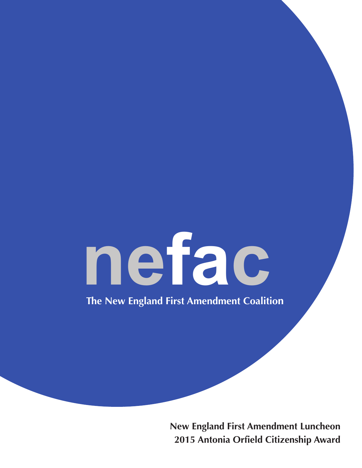# nefac

The New England First Amendment Coalition

**New England First Amendment Luncheon** 2015 Antonia Orfield Citizenship Award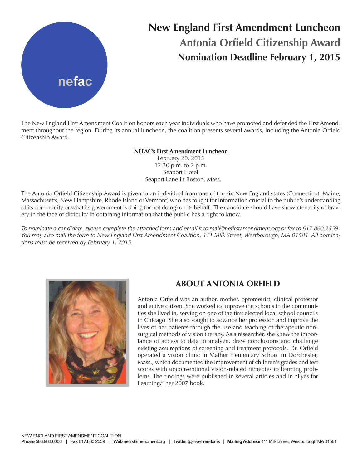

# **New England First Amendment Luncheon Antonia Orfield Citizenship Award Nomination Deadline February 1, 2015**

The New England First Amendment Coalition honors each year individuals who have promoted and defended the First Amendment throughout the region. During its annual luncheon, the coalition presents several awards, including the Antonia Orfield Citizenship Award.

### **NEFAC's First Amendment Luncheon**

February 20, 2015 12:30 p.m. to 2 p.m. Seaport Hotel 1 Seaport Lane in Boston, Mass.

The Antonia Orfield Citizenship Award is given to an individual from one of the six New England states (Connecticut, Maine, Massachusetts, New Hampshire, Rhode Island orVermont) who has fought for information crucial to the public's understanding of its community or what its government is doing (or not doing) on its behalf. The candidate should have shown tenacity or bravery in the face of difficulty in obtaining information that the public has a right to know.

To nominate a candidate, please complete the attached form and email it to mail@nefirstamendment.org or fax to 617.860.2559. You may also mail the form to New England First Amendment Coalition, 111 Milk Street, Westborough, MA 01581. <u>All nomina</u>*tions must be received by February 1, 2015.*



## **ABOUT ANTONIA ORFIELD**

Antonia Orfield was an author, mother, optometrist, clinical professor and active citizen. She worked to improve the schools in the communities she lived in, serving on one of the first elected local school councils in Chicago. She also sought to advance her profession and improve the lives of her patients through the use and teaching of therapeutic nonsurgical methods of vision therapy. As a researcher, she knew the importance of access to data to analyze, draw conclusions and challenge existing assumptions of screening and treatment protocols. Dr. Orfield operated a vision clinic in Mather Elementary School in Dorchester, Mass., which documented the improvement of children's grades and test scores with unconventional vision-related remedies to learning problems. The findings were published in several articles and in "Eyes for Learning," her 2007 book.